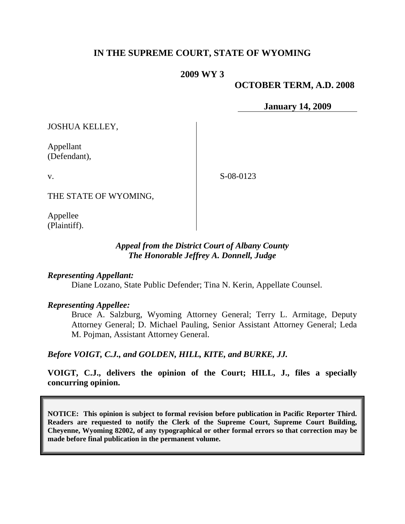# **IN THE SUPREME COURT, STATE OF WYOMING**

## **2009 WY 3**

# **OCTOBER TERM, A.D. 2008**

**January 14, 2009**

JOSHUA KELLEY,

Appellant (Defendant),

v.

S-08-0123

THE STATE OF WYOMING,

Appellee (Plaintiff).

## *Appeal from the District Court of Albany County The Honorable Jeffrey A. Donnell, Judge*

## *Representing Appellant:*

Diane Lozano, State Public Defender; Tina N. Kerin, Appellate Counsel.

## *Representing Appellee:*

Bruce A. Salzburg, Wyoming Attorney General; Terry L. Armitage, Deputy Attorney General; D. Michael Pauling, Senior Assistant Attorney General; Leda M. Pojman, Assistant Attorney General.

*Before VOIGT, C.J., and GOLDEN, HILL, KITE, and BURKE, JJ.*

**VOIGT, C.J., delivers the opinion of the Court; HILL, J., files a specially concurring opinion.**

**NOTICE: This opinion is subject to formal revision before publication in Pacific Reporter Third. Readers are requested to notify the Clerk of the Supreme Court, Supreme Court Building, Cheyenne, Wyoming 82002, of any typographical or other formal errors so that correction may be made before final publication in the permanent volume.**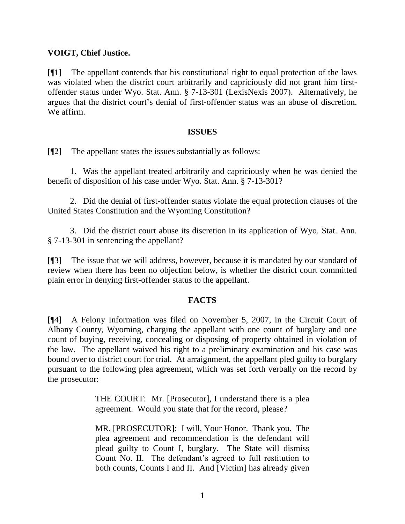## **VOIGT, Chief Justice.**

[¶1] The appellant contends that his constitutional right to equal protection of the laws was violated when the district court arbitrarily and capriciously did not grant him firstoffender status under Wyo. Stat. Ann. § 7-13-301 (LexisNexis 2007). Alternatively, he argues that the district court's denial of first-offender status was an abuse of discretion. We affirm.

## **ISSUES**

[¶2] The appellant states the issues substantially as follows:

1. Was the appellant treated arbitrarily and capriciously when he was denied the benefit of disposition of his case under Wyo. Stat. Ann. § 7-13-301?

2. Did the denial of first-offender status violate the equal protection clauses of the United States Constitution and the Wyoming Constitution?

3. Did the district court abuse its discretion in its application of Wyo. Stat. Ann. § 7-13-301 in sentencing the appellant?

[¶3] The issue that we will address, however, because it is mandated by our standard of review when there has been no objection below, is whether the district court committed plain error in denying first-offender status to the appellant.

# **FACTS**

[¶4] A Felony Information was filed on November 5, 2007, in the Circuit Court of Albany County, Wyoming, charging the appellant with one count of burglary and one count of buying, receiving, concealing or disposing of property obtained in violation of the law. The appellant waived his right to a preliminary examination and his case was bound over to district court for trial. At arraignment, the appellant pled guilty to burglary pursuant to the following plea agreement, which was set forth verbally on the record by the prosecutor:

> THE COURT: Mr. [Prosecutor], I understand there is a plea agreement. Would you state that for the record, please?

> MR. [PROSECUTOR]: I will, Your Honor. Thank you. The plea agreement and recommendation is the defendant will plead guilty to Count I, burglary. The State will dismiss Count No. II. The defendant's agreed to full restitution to both counts, Counts I and II. And [Victim] has already given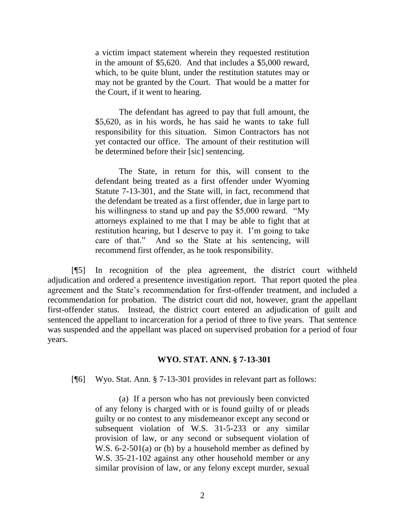a victim impact statement wherein they requested restitution in the amount of \$5,620. And that includes a \$5,000 reward, which, to be quite blunt, under the restitution statutes may or may not be granted by the Court. That would be a matter for the Court, if it went to hearing.

The defendant has agreed to pay that full amount, the \$5,620, as in his words, he has said he wants to take full responsibility for this situation. Simon Contractors has not yet contacted our office. The amount of their restitution will be determined before their [sic] sentencing.

The State, in return for this, will consent to the defendant being treated as a first offender under Wyoming Statute 7-13-301, and the State will, in fact, recommend that the defendant be treated as a first offender, due in large part to his willingness to stand up and pay the \$5,000 reward. "My attorneys explained to me that I may be able to fight that at restitution hearing, but I deserve to pay it. I'm going to take care of that." And so the State at his sentencing, will recommend first offender, as he took responsibility.

[¶5] In recognition of the plea agreement, the district court withheld adjudication and ordered a presentence investigation report. That report quoted the plea agreement and the State's recommendation for first-offender treatment, and included a recommendation for probation. The district court did not, however, grant the appellant first-offender status. Instead, the district court entered an adjudication of guilt and sentenced the appellant to incarceration for a period of three to five years. That sentence was suspended and the appellant was placed on supervised probation for a period of four years.

### **WYO. STAT. ANN. § 7-13-301**

[¶6] Wyo. Stat. Ann. § 7-13-301 provides in relevant part as follows:

(a) If a person who has not previously been convicted of any felony is charged with or is found guilty of or pleads guilty or no contest to any misdemeanor except any second or subsequent violation of W.S. 31-5-233 or any similar provision of law, or any second or subsequent violation of W.S. 6-2-501(a) or (b) by a household member as defined by W.S. 35-21-102 against any other household member or any similar provision of law, or any felony except murder, sexual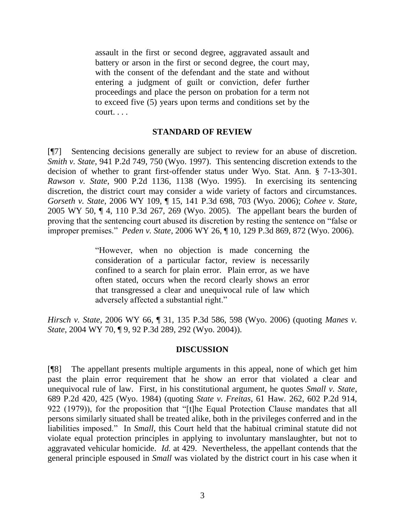assault in the first or second degree, aggravated assault and battery or arson in the first or second degree, the court may, with the consent of the defendant and the state and without entering a judgment of guilt or conviction, defer further proceedings and place the person on probation for a term not to exceed five (5) years upon terms and conditions set by the court. . . .

### **STANDARD OF REVIEW**

[¶7] Sentencing decisions generally are subject to review for an abuse of discretion. *Smith v. State*, 941 P.2d 749, 750 (Wyo. 1997). This sentencing discretion extends to the decision of whether to grant first-offender status under Wyo. Stat. Ann. § 7-13-301. *Rawson v. State*, 900 P.2d 1136, 1138 (Wyo. 1995). In exercising its sentencing discretion, the district court may consider a wide variety of factors and circumstances. *Gorseth v. State*, 2006 WY 109, ¶ 15, 141 P.3d 698, 703 (Wyo. 2006); *Cohee v. State*, 2005 WY 50, ¶ 4, 110 P.3d 267, 269 (Wyo. 2005). The appellant bears the burden of proving that the sentencing court abused its discretion by resting the sentence on "false or improper premises." *Peden v. State*, 2006 WY 26, ¶ 10, 129 P.3d 869, 872 (Wyo. 2006).

> "However, when no objection is made concerning the consideration of a particular factor, review is necessarily confined to a search for plain error. Plain error, as we have often stated, occurs when the record clearly shows an error that transgressed a clear and unequivocal rule of law which adversely affected a substantial right."

*Hirsch v. State*, 2006 WY 66, ¶ 31, 135 P.3d 586, 598 (Wyo. 2006) (quoting *Manes v. State*, 2004 WY 70, ¶ 9, 92 P.3d 289, 292 (Wyo. 2004)).

### **DISCUSSION**

[¶8] The appellant presents multiple arguments in this appeal, none of which get him past the plain error requirement that he show an error that violated a clear and unequivocal rule of law. First, in his constitutional argument, he quotes *Small v. State*, 689 P.2d 420, 425 (Wyo. 1984) (quoting *State v. Freitas*, 61 Haw. 262, 602 P.2d 914, 922 (1979)), for the proposition that "[t]he Equal Protection Clause mandates that all persons similarly situated shall be treated alike, both in the privileges conferred and in the liabilities imposed." In *Small*, this Court held that the habitual criminal statute did not violate equal protection principles in applying to involuntary manslaughter, but not to aggravated vehicular homicide. *Id.* at 429. Nevertheless, the appellant contends that the general principle espoused in *Small* was violated by the district court in his case when it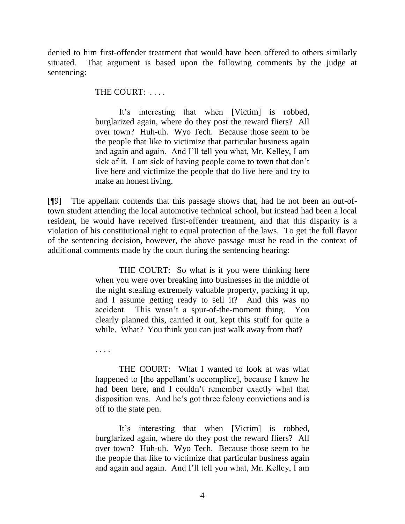denied to him first-offender treatment that would have been offered to others similarly situated. That argument is based upon the following comments by the judge at sentencing:

THE COURT: ....

It's interesting that when [Victim] is robbed, burglarized again, where do they post the reward fliers? All over town? Huh-uh. Wyo Tech. Because those seem to be the people that like to victimize that particular business again and again and again. And I'll tell you what, Mr. Kelley, I am sick of it. I am sick of having people come to town that don't live here and victimize the people that do live here and try to make an honest living.

[¶9] The appellant contends that this passage shows that, had he not been an out-oftown student attending the local automotive technical school, but instead had been a local resident, he would have received first-offender treatment, and that this disparity is a violation of his constitutional right to equal protection of the laws. To get the full flavor of the sentencing decision, however, the above passage must be read in the context of additional comments made by the court during the sentencing hearing:

> THE COURT: So what is it you were thinking here when you were over breaking into businesses in the middle of the night stealing extremely valuable property, packing it up, and I assume getting ready to sell it? And this was no accident. This wasn't a spur-of-the-moment thing. You clearly planned this, carried it out, kept this stuff for quite a while. What? You think you can just walk away from that?

. . . .

THE COURT: What I wanted to look at was what happened to [the appellant's accomplice], because I knew he had been here, and I couldn't remember exactly what that disposition was. And he's got three felony convictions and is off to the state pen.

It's interesting that when [Victim] is robbed, burglarized again, where do they post the reward fliers? All over town? Huh-uh. Wyo Tech. Because those seem to be the people that like to victimize that particular business again and again and again. And I'll tell you what, Mr. Kelley, I am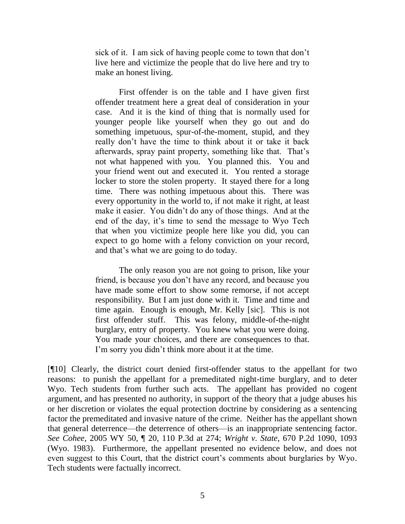sick of it. I am sick of having people come to town that don't live here and victimize the people that do live here and try to make an honest living.

First offender is on the table and I have given first offender treatment here a great deal of consideration in your case. And it is the kind of thing that is normally used for younger people like yourself when they go out and do something impetuous, spur-of-the-moment, stupid, and they really don't have the time to think about it or take it back afterwards, spray paint property, something like that. That's not what happened with you. You planned this. You and your friend went out and executed it. You rented a storage locker to store the stolen property. It stayed there for a long time. There was nothing impetuous about this. There was every opportunity in the world to, if not make it right, at least make it easier. You didn't do any of those things. And at the end of the day, it's time to send the message to Wyo Tech that when you victimize people here like you did, you can expect to go home with a felony conviction on your record, and that's what we are going to do today.

The only reason you are not going to prison, like your friend, is because you don't have any record, and because you have made some effort to show some remorse, if not accept responsibility. But I am just done with it. Time and time and time again. Enough is enough, Mr. Kelly [sic]. This is not first offender stuff. This was felony, middle-of-the-night burglary, entry of property. You knew what you were doing. You made your choices, and there are consequences to that. I'm sorry you didn't think more about it at the time.

[¶10] Clearly, the district court denied first-offender status to the appellant for two reasons: to punish the appellant for a premeditated night-time burglary, and to deter Wyo. Tech students from further such acts. The appellant has provided no cogent argument, and has presented no authority, in support of the theory that a judge abuses his or her discretion or violates the equal protection doctrine by considering as a sentencing factor the premeditated and invasive nature of the crime. Neither has the appellant shown that general deterrence—the deterrence of others—is an inappropriate sentencing factor. *See Cohee*, 2005 WY 50, ¶ 20, 110 P.3d at 274; *Wright v. State*, 670 P.2d 1090, 1093 (Wyo. 1983). Furthermore, the appellant presented no evidence below, and does not even suggest to this Court, that the district court's comments about burglaries by Wyo. Tech students were factually incorrect.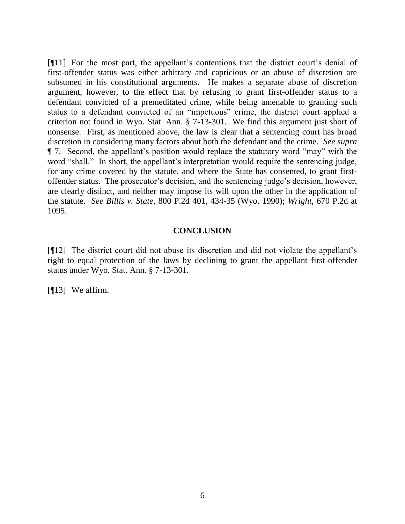[¶11] For the most part, the appellant's contentions that the district court's denial of first-offender status was either arbitrary and capricious or an abuse of discretion are subsumed in his constitutional arguments. He makes a separate abuse of discretion argument, however, to the effect that by refusing to grant first-offender status to a defendant convicted of a premeditated crime, while being amenable to granting such status to a defendant convicted of an "impetuous" crime, the district court applied a criterion not found in Wyo. Stat. Ann. § 7-13-301. We find this argument just short of nonsense. First, as mentioned above, the law is clear that a sentencing court has broad discretion in considering many factors about both the defendant and the crime. *See supra*  ¶ 7. Second, the appellant's position would replace the statutory word "may" with the word "shall." In short, the appellant's interpretation would require the sentencing judge, for any crime covered by the statute, and where the State has consented, to grant firstoffender status. The prosecutor's decision, and the sentencing judge's decision, however, are clearly distinct, and neither may impose its will upon the other in the application of the statute. *See Billis v. State*, 800 P.2d 401, 434-35 (Wyo. 1990); *Wright*, 670 P.2d at 1095.

### **CONCLUSION**

[¶12] The district court did not abuse its discretion and did not violate the appellant's right to equal protection of the laws by declining to grant the appellant first-offender status under Wyo. Stat. Ann. § 7-13-301.

[¶13] We affirm.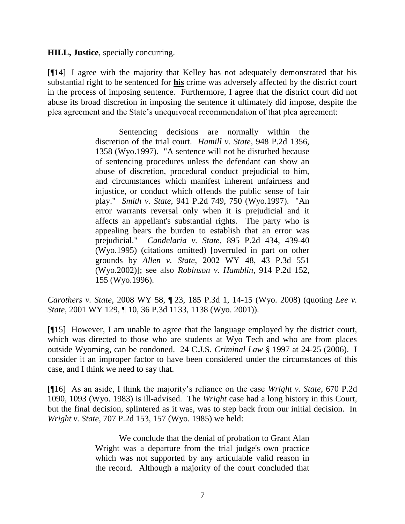**HILL, Justice**, specially concurring.

[¶14] I agree with the majority that Kelley has not adequately demonstrated that his substantial right to be sentenced for **his** crime was adversely affected by the district court in the process of imposing sentence. Furthermore, I agree that the district court did not abuse its broad discretion in imposing the sentence it ultimately did impose, despite the plea agreement and the State's unequivocal recommendation of that plea agreement:

> Sentencing decisions are normally within the discretion of the trial court. *Hamill v. State*, 948 P.2d 1356, 1358 (Wyo.1997). "A sentence will not be disturbed because of sentencing procedures unless the defendant can show an abuse of discretion, procedural conduct prejudicial to him, and circumstances which manifest inherent unfairness and injustice, or conduct which offends the public sense of fair play." *Smith v. State*, 941 P.2d 749, 750 (Wyo.1997). "An error warrants reversal only when it is prejudicial and it affects an appellant's substantial rights. The party who is appealing bears the burden to establish that an error was prejudicial." *Candelaria v. State*, 895 P.2d 434, 439-40 (Wyo.1995) (citations omitted) [overruled in part on other grounds by *Allen v. State*, 2002 WY 48, 43 P.3d 551 (Wyo.2002)]; see also *Robinson v. Hamblin*, 914 P.2d 152, 155 (Wyo.1996).

*Carothers v. State*, 2008 WY 58, ¶ 23, 185 P.3d 1, 14-15 (Wyo. 2008) (quoting *Lee v. State*, 2001 WY 129, ¶ 10, 36 P.3d 1133, 1138 (Wyo. 2001)).

[¶15] However, I am unable to agree that the language employed by the district court, which was directed to those who are students at Wyo Tech and who are from places outside Wyoming, can be condoned. 24 C.J.S. *Criminal Law* § 1997 at 24-25 (2006). I consider it an improper factor to have been considered under the circumstances of this case, and I think we need to say that.

[¶16] As an aside, I think the majority's reliance on the case *Wright v. State*, 670 P.2d 1090, 1093 (Wyo. 1983) is ill-advised. The *Wright* case had a long history in this Court, but the final decision, splintered as it was, was to step back from our initial decision. In *Wright v. State*, 707 P.2d 153, 157 (Wyo. 1985) we held:

> We conclude that the denial of probation to Grant Alan Wright was a departure from the trial judge's own practice which was not supported by any articulable valid reason in the record. Although a majority of the court concluded that